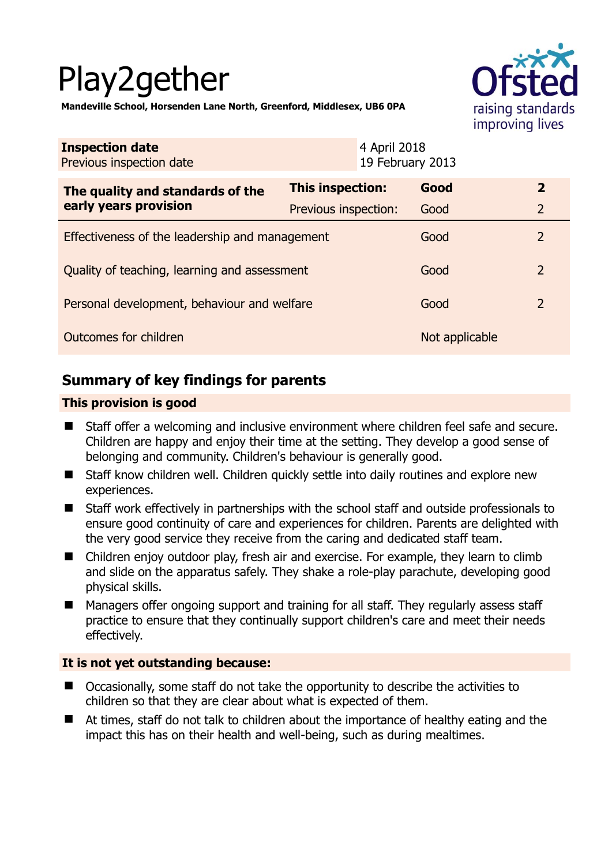# Play2gether



**Mandeville School, Horsenden Lane North, Greenford, Middlesex, UB6 0PA** 

| <b>Inspection date</b><br>Previous inspection date        |                         | 4 April 2018<br>19 February 2013 |                |                |
|-----------------------------------------------------------|-------------------------|----------------------------------|----------------|----------------|
| The quality and standards of the<br>early years provision | <b>This inspection:</b> |                                  | Good           | $\mathbf{2}$   |
|                                                           | Previous inspection:    |                                  | Good           | 2              |
| Effectiveness of the leadership and management            |                         |                                  | Good           | 2              |
| Quality of teaching, learning and assessment              |                         |                                  | Good           | $\overline{2}$ |
| Personal development, behaviour and welfare               |                         |                                  | Good           | $\overline{2}$ |
| Outcomes for children                                     |                         |                                  | Not applicable |                |

# **Summary of key findings for parents**

## **This provision is good**

- Staff offer a welcoming and inclusive environment where children feel safe and secure. Children are happy and enjoy their time at the setting. They develop a good sense of belonging and community. Children's behaviour is generally good.
- Staff know children well. Children quickly settle into daily routines and explore new experiences.
- Staff work effectively in partnerships with the school staff and outside professionals to ensure good continuity of care and experiences for children. Parents are delighted with the very good service they receive from the caring and dedicated staff team.
- Children enjoy outdoor play, fresh air and exercise. For example, they learn to climb and slide on the apparatus safely. They shake a role-play parachute, developing good physical skills.
- Managers offer ongoing support and training for all staff. They regularly assess staff practice to ensure that they continually support children's care and meet their needs effectively.

## **It is not yet outstanding because:**

- Occasionally, some staff do not take the opportunity to describe the activities to children so that they are clear about what is expected of them.
- At times, staff do not talk to children about the importance of healthy eating and the impact this has on their health and well-being, such as during mealtimes.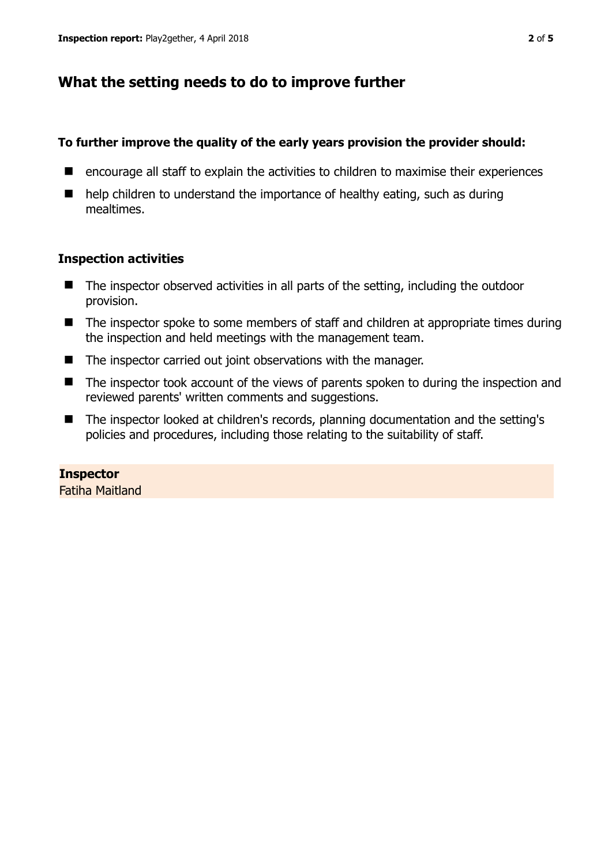# **What the setting needs to do to improve further**

### **To further improve the quality of the early years provision the provider should:**

- encourage all staff to explain the activities to children to maximise their experiences
- help children to understand the importance of healthy eating, such as during mealtimes.

## **Inspection activities**

- The inspector observed activities in all parts of the setting, including the outdoor provision.
- The inspector spoke to some members of staff and children at appropriate times during the inspection and held meetings with the management team.
- The inspector carried out joint observations with the manager.
- The inspector took account of the views of parents spoken to during the inspection and reviewed parents' written comments and suggestions.
- The inspector looked at children's records, planning documentation and the setting's policies and procedures, including those relating to the suitability of staff.

## **Inspector**

Fatiha Maitland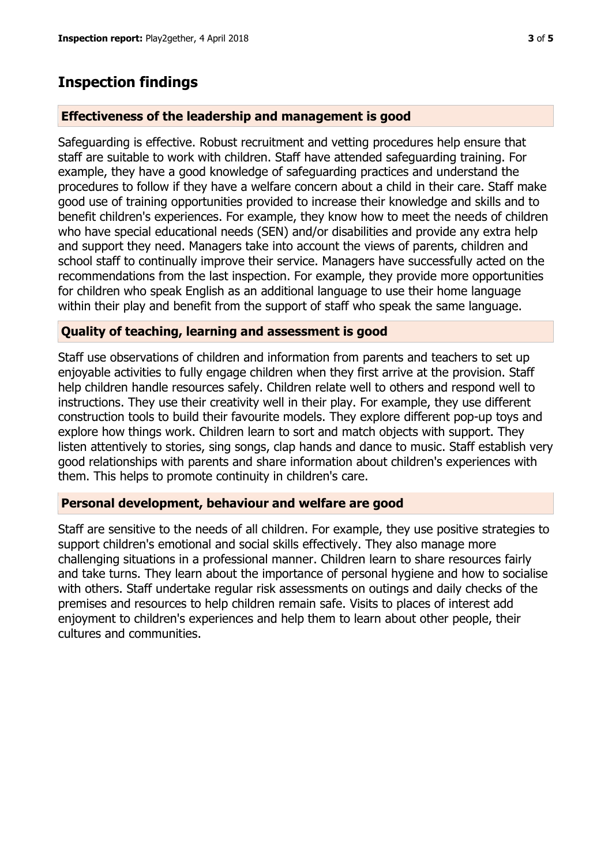# **Inspection findings**

### **Effectiveness of the leadership and management is good**

Safeguarding is effective. Robust recruitment and vetting procedures help ensure that staff are suitable to work with children. Staff have attended safeguarding training. For example, they have a good knowledge of safeguarding practices and understand the procedures to follow if they have a welfare concern about a child in their care. Staff make good use of training opportunities provided to increase their knowledge and skills and to benefit children's experiences. For example, they know how to meet the needs of children who have special educational needs (SEN) and/or disabilities and provide any extra help and support they need. Managers take into account the views of parents, children and school staff to continually improve their service. Managers have successfully acted on the recommendations from the last inspection. For example, they provide more opportunities for children who speak English as an additional language to use their home language within their play and benefit from the support of staff who speak the same language.

#### **Quality of teaching, learning and assessment is good**

Staff use observations of children and information from parents and teachers to set up enjoyable activities to fully engage children when they first arrive at the provision. Staff help children handle resources safely. Children relate well to others and respond well to instructions. They use their creativity well in their play. For example, they use different construction tools to build their favourite models. They explore different pop-up toys and explore how things work. Children learn to sort and match objects with support. They listen attentively to stories, sing songs, clap hands and dance to music. Staff establish very good relationships with parents and share information about children's experiences with them. This helps to promote continuity in children's care.

#### **Personal development, behaviour and welfare are good**

Staff are sensitive to the needs of all children. For example, they use positive strategies to support children's emotional and social skills effectively. They also manage more challenging situations in a professional manner. Children learn to share resources fairly and take turns. They learn about the importance of personal hygiene and how to socialise with others. Staff undertake regular risk assessments on outings and daily checks of the premises and resources to help children remain safe. Visits to places of interest add enjoyment to children's experiences and help them to learn about other people, their cultures and communities.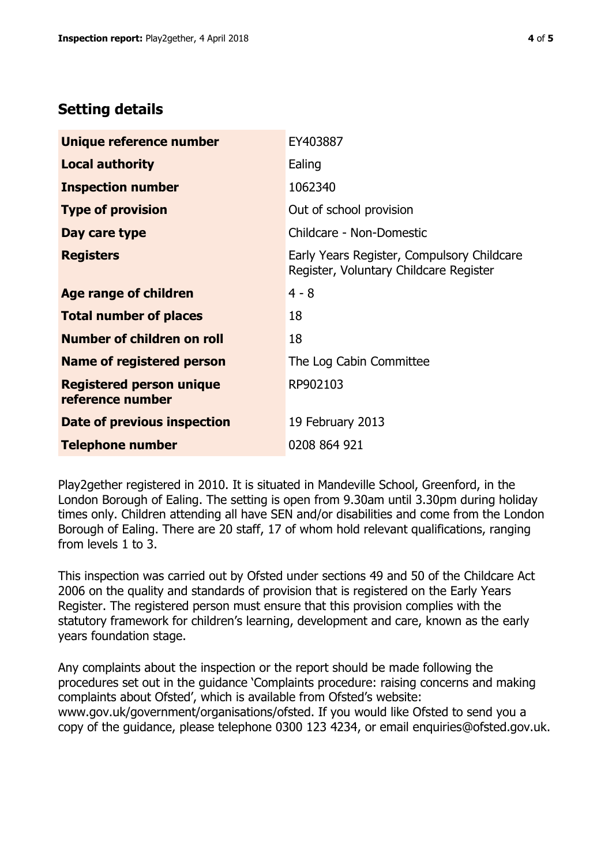# **Setting details**

| Unique reference number                             | EY403887                                                                             |  |
|-----------------------------------------------------|--------------------------------------------------------------------------------------|--|
| <b>Local authority</b>                              | Ealing                                                                               |  |
| <b>Inspection number</b>                            | 1062340                                                                              |  |
| <b>Type of provision</b>                            | Out of school provision                                                              |  |
| Day care type                                       | Childcare - Non-Domestic                                                             |  |
| <b>Registers</b>                                    | Early Years Register, Compulsory Childcare<br>Register, Voluntary Childcare Register |  |
| <b>Age range of children</b>                        | $4 - 8$                                                                              |  |
| <b>Total number of places</b>                       | 18                                                                                   |  |
| Number of children on roll                          | 18                                                                                   |  |
| Name of registered person                           | The Log Cabin Committee                                                              |  |
| <b>Registered person unique</b><br>reference number | RP902103                                                                             |  |
| Date of previous inspection                         | 19 February 2013                                                                     |  |
| <b>Telephone number</b>                             | 0208 864 921                                                                         |  |

Play2gether registered in 2010. It is situated in Mandeville School, Greenford, in the London Borough of Ealing. The setting is open from 9.30am until 3.30pm during holiday times only. Children attending all have SEN and/or disabilities and come from the London Borough of Ealing. There are 20 staff, 17 of whom hold relevant qualifications, ranging from levels 1 to 3.

This inspection was carried out by Ofsted under sections 49 and 50 of the Childcare Act 2006 on the quality and standards of provision that is registered on the Early Years Register. The registered person must ensure that this provision complies with the statutory framework for children's learning, development and care, known as the early years foundation stage.

Any complaints about the inspection or the report should be made following the procedures set out in the guidance 'Complaints procedure: raising concerns and making complaints about Ofsted', which is available from Ofsted's website: www.gov.uk/government/organisations/ofsted. If you would like Ofsted to send you a copy of the guidance, please telephone 0300 123 4234, or email enquiries@ofsted.gov.uk.